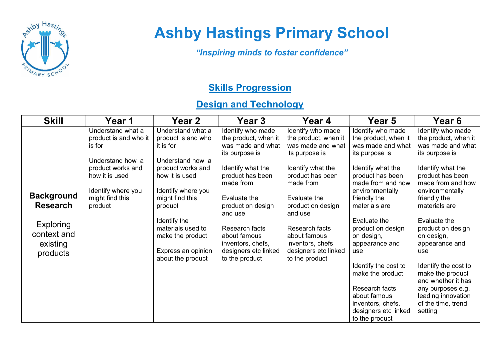

## Ashby Hastings Primary School

"Inspiring minds to foster confidence"

## **Skills Progression**

## Design and Technology

| is for                                                                                                     | Understand what a<br>product is and who it                                                       | Understand what a                                                                                                                                                                                                                                  |                                                                                                                                                                                                                                                                                         |                                                                                                                                                                                                                                                                                         |                                                                                                                                                                                                                                                                                                                                                              | <b>Year 6</b>                                                                                                                                                                                                                                                                                                                                                                               |
|------------------------------------------------------------------------------------------------------------|--------------------------------------------------------------------------------------------------|----------------------------------------------------------------------------------------------------------------------------------------------------------------------------------------------------------------------------------------------------|-----------------------------------------------------------------------------------------------------------------------------------------------------------------------------------------------------------------------------------------------------------------------------------------|-----------------------------------------------------------------------------------------------------------------------------------------------------------------------------------------------------------------------------------------------------------------------------------------|--------------------------------------------------------------------------------------------------------------------------------------------------------------------------------------------------------------------------------------------------------------------------------------------------------------------------------------------------------------|---------------------------------------------------------------------------------------------------------------------------------------------------------------------------------------------------------------------------------------------------------------------------------------------------------------------------------------------------------------------------------------------|
| <b>Background</b><br><b>Research</b><br>product<br><b>Exploring</b><br>context and<br>existing<br>products | Understand how a<br>product works and<br>how it is used<br>Identify where you<br>might find this | product is and who<br>it is for<br>Understand how a<br>product works and<br>how it is used<br>Identify where you<br>might find this<br>product<br>Identify the<br>materials used to<br>make the product<br>Express an opinion<br>about the product | Identify who made<br>the product, when it<br>was made and what<br>its purpose is<br>Identify what the<br>product has been<br>made from<br>Evaluate the<br>product on design<br>and use<br>Research facts<br>about famous<br>inventors, chefs,<br>designers etc linked<br>to the product | Identify who made<br>the product, when it<br>was made and what<br>its purpose is<br>Identify what the<br>product has been<br>made from<br>Evaluate the<br>product on design<br>and use<br>Research facts<br>about famous<br>inventors, chefs,<br>designers etc linked<br>to the product | Identify who made<br>the product, when it<br>was made and what<br>its purpose is<br>Identify what the<br>product has been<br>made from and how<br>environmentally<br>friendly the<br>materials are<br>Evaluate the<br>product on design<br>on design,<br>appearance and<br>use<br>Identify the cost to<br>make the product<br>Research facts<br>about famous | Identify who made<br>the product, when it<br>was made and what<br>its purpose is<br>Identify what the<br>product has been<br>made from and how<br>environmentally<br>friendly the<br>materials are<br>Evaluate the<br>product on design<br>on design,<br>appearance and<br>use<br>Identify the cost to<br>make the product<br>and whether it has<br>any purposes e.g.<br>leading innovation |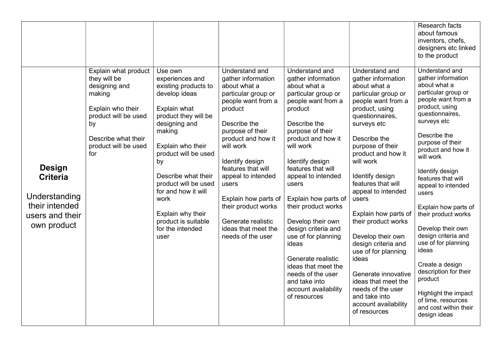|                                                                                                       |                                                                                                                                                                          |                                                                                                                                                                                                                                                                                                                                                 |                                                                                                                                                                                                                                                                                                                                                                              |                                                                                                                                                                                                                                                                                                                                                                                                                                                                                                                   |                                                                                                                                                                                                                                                                                                                                                                                                                                                                                                                                                             | Research facts<br>about famous<br>inventors, chefs,<br>designers etc linked<br>to the product                                                                                                                                                                                                                                                                                                                                                                                                                                                                                 |
|-------------------------------------------------------------------------------------------------------|--------------------------------------------------------------------------------------------------------------------------------------------------------------------------|-------------------------------------------------------------------------------------------------------------------------------------------------------------------------------------------------------------------------------------------------------------------------------------------------------------------------------------------------|------------------------------------------------------------------------------------------------------------------------------------------------------------------------------------------------------------------------------------------------------------------------------------------------------------------------------------------------------------------------------|-------------------------------------------------------------------------------------------------------------------------------------------------------------------------------------------------------------------------------------------------------------------------------------------------------------------------------------------------------------------------------------------------------------------------------------------------------------------------------------------------------------------|-------------------------------------------------------------------------------------------------------------------------------------------------------------------------------------------------------------------------------------------------------------------------------------------------------------------------------------------------------------------------------------------------------------------------------------------------------------------------------------------------------------------------------------------------------------|-------------------------------------------------------------------------------------------------------------------------------------------------------------------------------------------------------------------------------------------------------------------------------------------------------------------------------------------------------------------------------------------------------------------------------------------------------------------------------------------------------------------------------------------------------------------------------|
| <b>Design</b><br><b>Criteria</b><br>Understanding<br>their intended<br>users and their<br>own product | Explain what product<br>they will be<br>designing and<br>making<br>Explain who their<br>product will be used<br>by<br>Describe what their<br>product will be used<br>for | Use own<br>experiences and<br>existing products to<br>develop ideas<br>Explain what<br>product they will be<br>designing and<br>making<br>Explain who their<br>product will be used<br>by<br>Describe what their<br>product will be used<br>for and how it will<br>work<br>Explain why their<br>product is suitable<br>for the intended<br>user | Understand and<br>gather information<br>about what a<br>particular group or<br>people want from a<br>product<br>Describe the<br>purpose of their<br>product and how it<br>will work<br>Identify design<br>features that will<br>appeal to intended<br>users<br>Explain how parts of<br>their product works<br>Generate realistic<br>ideas that meet the<br>needs of the user | Understand and<br>gather information<br>about what a<br>particular group or<br>people want from a<br>product<br>Describe the<br>purpose of their<br>product and how it<br>will work<br>Identify design<br>features that will<br>appeal to intended<br>users<br>Explain how parts of<br>their product works<br>Develop their own<br>design criteria and<br>use of for planning<br>ideas<br>Generate realistic<br>ideas that meet the<br>needs of the user<br>and take into<br>account availability<br>of resources | Understand and<br>gather information<br>about what a<br>particular group or<br>people want from a<br>product, using<br>questionnaires,<br>surveys etc<br>Describe the<br>purpose of their<br>product and how it<br>will work<br>Identify design<br>features that will<br>appeal to intended<br>users<br>Explain how parts of<br>their product works<br>Develop their own<br>design criteria and<br>use of for planning<br>ideas<br>Generate innovative<br>ideas that meet the<br>needs of the user<br>and take into<br>account availability<br>of resources | Understand and<br>gather information<br>about what a<br>particular group or<br>people want from a<br>product, using<br>questionnaires,<br>surveys etc<br>Describe the<br>purpose of their<br>product and how it<br>will work<br>Identify design<br>features that will<br>appeal to intended<br>users<br>Explain how parts of<br>their product works<br>Develop their own<br>design criteria and<br>use of for planning<br>ideas<br>Create a design<br>description for their<br>product<br>Highlight the impact<br>of time, resources<br>and cost within their<br>design ideas |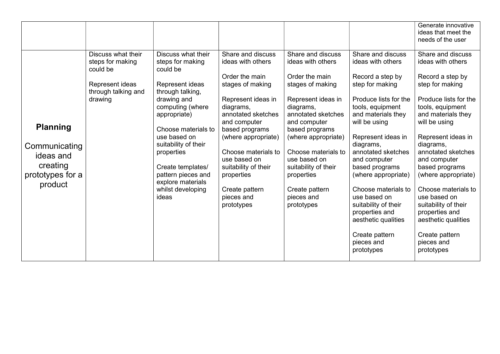|                                         |                                                    |                                                              |                                                       |                                                       |                                                                                                      | Generate innovative<br>ideas that meet the<br>needs of the user                                      |
|-----------------------------------------|----------------------------------------------------|--------------------------------------------------------------|-------------------------------------------------------|-------------------------------------------------------|------------------------------------------------------------------------------------------------------|------------------------------------------------------------------------------------------------------|
|                                         | Discuss what their<br>steps for making<br>could be | Discuss what their<br>steps for making<br>could be           | Share and discuss<br>ideas with others                | Share and discuss<br>ideas with others                | Share and discuss<br>ideas with others                                                               | Share and discuss<br>ideas with others                                                               |
|                                         | Represent ideas<br>through talking and             | Represent ideas<br>through talking,                          | Order the main<br>stages of making                    | Order the main<br>stages of making                    | Record a step by<br>step for making                                                                  | Record a step by<br>step for making                                                                  |
|                                         | drawing                                            | drawing and<br>computing (where<br>appropriate)              | Represent ideas in<br>diagrams,<br>annotated sketches | Represent ideas in<br>diagrams,<br>annotated sketches | Produce lists for the<br>tools, equipment<br>and materials they                                      | Produce lists for the<br>tools, equipment<br>and materials they                                      |
| <b>Planning</b>                         |                                                    | Choose materials to<br>use based on                          | and computer<br>based programs<br>(where appropriate) | and computer<br>based programs<br>(where appropriate) | will be using<br>Represent ideas in                                                                  | will be using<br>Represent ideas in                                                                  |
| Communicating<br>ideas and              |                                                    | suitability of their<br>properties                           | Choose materials to<br>use based on                   | Choose materials to<br>use based on                   | diagrams,<br>annotated sketches<br>and computer                                                      | diagrams,<br>annotated sketches<br>and computer                                                      |
| creating<br>prototypes for a<br>product |                                                    | Create templates/<br>pattern pieces and<br>explore materials | suitability of their<br>properties                    | suitability of their<br>properties                    | based programs<br>(where appropriate)                                                                | based programs<br>(where appropriate)                                                                |
|                                         |                                                    | whilst developing<br>ideas                                   | Create pattern<br>pieces and<br>prototypes            | Create pattern<br>pieces and<br>prototypes            | Choose materials to<br>use based on<br>suitability of their<br>properties and<br>aesthetic qualities | Choose materials to<br>use based on<br>suitability of their<br>properties and<br>aesthetic qualities |
|                                         |                                                    |                                                              |                                                       |                                                       | Create pattern<br>pieces and<br>prototypes                                                           | Create pattern<br>pieces and<br>prototypes                                                           |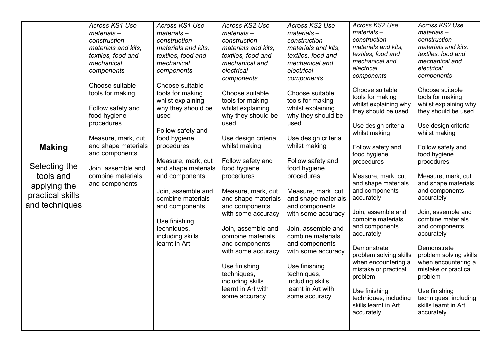| <b>Making</b><br>Selecting the<br>tools and<br>applying the<br>practical skills<br>and techniques | <b>Across KS1 Use</b><br>$materials -$<br>construction<br>materials and kits,<br>textiles, food and<br>mechanical<br>components<br>Choose suitable<br>tools for making<br>Follow safety and<br>food hygiene<br>procedures<br>Measure, mark, cut<br>and shape materials<br>and components<br>Join, assemble and<br>combine materials<br>and components | <b>Across KS1 Use</b><br>$materials -$<br>construction<br>materials and kits,<br>textiles, food and<br>mechanical<br>components<br>Choose suitable<br>tools for making<br>whilst explaining<br>why they should be<br>used<br>Follow safety and<br>food hygiene<br>procedures<br>Measure, mark, cut<br>and shape materials<br>and components<br>Join, assemble and<br>combine materials<br>and components<br>Use finishing<br>techniques,<br>including skills<br>learnt in Art | Across KS2 Use<br>$materials -$<br>construction<br>materials and kits,<br>textiles, food and<br>mechanical and<br>electrical<br>components<br>Choose suitable<br>tools for making<br>whilst explaining<br>why they should be<br>used<br>Use design criteria<br>whilst making<br>Follow safety and<br>food hygiene<br>procedures<br>Measure, mark, cut<br>and shape materials<br>and components<br>with some accuracy<br>Join, assemble and<br>combine materials<br>and components<br>with some accuracy<br>Use finishing<br>techniques,<br>including skills<br>learnt in Art with<br>some accuracy | Across KS2 Use<br>$materials -$<br>construction<br>materials and kits,<br>textiles, food and<br>mechanical and<br>electrical<br>components<br>Choose suitable<br>tools for making<br>whilst explaining<br>why they should be<br>used<br>Use design criteria<br>whilst making<br>Follow safety and<br>food hygiene<br>procedures<br>Measure, mark, cut<br>and shape materials<br>and components<br>with some accuracy<br>Join, assemble and<br>combine materials<br>and components<br>with some accuracy<br>Use finishing<br>techniques,<br>including skills<br>learnt in Art with<br>some accuracy | Across KS2 Use<br>$materials -$<br>construction<br>materials and kits,<br>textiles, food and<br>mechanical and<br>electrical<br>components<br>Choose suitable<br>tools for making<br>whilst explaining why<br>they should be used<br>Use design criteria<br>whilst making<br>Follow safety and<br>food hygiene<br>procedures<br>Measure, mark, cut<br>and shape materials<br>and components<br>accurately<br>Join, assemble and<br>combine materials<br>and components<br>accurately<br>Demonstrate<br>problem solving skills<br>when encountering a<br>mistake or practical<br>problem<br>Use finishing | Across KS2 Use<br>$materials -$<br>construction<br>materials and kits,<br>textiles, food and<br>mechanical and<br>electrical<br>components<br>Choose suitable<br>tools for making<br>whilst explaining why<br>they should be used<br>Use design criteria<br>whilst making<br>Follow safety and<br>food hygiene<br>procedures<br>Measure, mark, cut<br>and shape materials<br>and components<br>accurately<br>Join, assemble and<br>combine materials<br>and components<br>accurately<br>Demonstrate<br>problem solving skills<br>when encountering a<br>mistake or practical<br>problem<br>Use finishing |
|---------------------------------------------------------------------------------------------------|-------------------------------------------------------------------------------------------------------------------------------------------------------------------------------------------------------------------------------------------------------------------------------------------------------------------------------------------------------|-------------------------------------------------------------------------------------------------------------------------------------------------------------------------------------------------------------------------------------------------------------------------------------------------------------------------------------------------------------------------------------------------------------------------------------------------------------------------------|----------------------------------------------------------------------------------------------------------------------------------------------------------------------------------------------------------------------------------------------------------------------------------------------------------------------------------------------------------------------------------------------------------------------------------------------------------------------------------------------------------------------------------------------------------------------------------------------------|----------------------------------------------------------------------------------------------------------------------------------------------------------------------------------------------------------------------------------------------------------------------------------------------------------------------------------------------------------------------------------------------------------------------------------------------------------------------------------------------------------------------------------------------------------------------------------------------------|----------------------------------------------------------------------------------------------------------------------------------------------------------------------------------------------------------------------------------------------------------------------------------------------------------------------------------------------------------------------------------------------------------------------------------------------------------------------------------------------------------------------------------------------------------------------------------------------------------|----------------------------------------------------------------------------------------------------------------------------------------------------------------------------------------------------------------------------------------------------------------------------------------------------------------------------------------------------------------------------------------------------------------------------------------------------------------------------------------------------------------------------------------------------------------------------------------------------------|
|                                                                                                   |                                                                                                                                                                                                                                                                                                                                                       |                                                                                                                                                                                                                                                                                                                                                                                                                                                                               |                                                                                                                                                                                                                                                                                                                                                                                                                                                                                                                                                                                                    | techniques, including<br>skills learnt in Art<br>accurately                                                                                                                                                                                                                                                                                                                                                                                                                                                                                                                                        | techniques, including<br>skills learnt in Art<br>accurately                                                                                                                                                                                                                                                                                                                                                                                                                                                                                                                                              |                                                                                                                                                                                                                                                                                                                                                                                                                                                                                                                                                                                                          |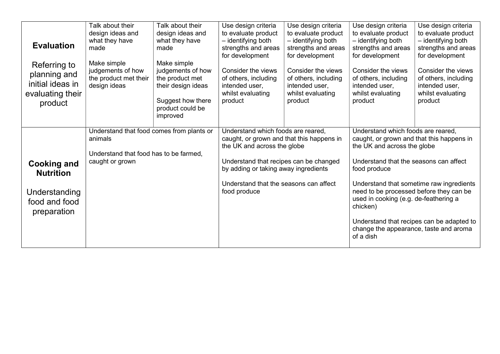| <b>Evaluation</b><br>Referring to<br>planning and<br>initial ideas in<br>evaluating their<br>product | Talk about their<br>design ideas and<br>what they have<br>made<br>Make simple<br>judgements of how<br>the product met their<br>design ideas | Talk about their<br>design ideas and<br>what they have<br>made<br>Make simple<br>judgements of how<br>the product met<br>their design ideas<br>Suggest how there<br>product could be<br>improved | Use design criteria<br>to evaluate product<br>- identifying both<br>strengths and areas<br>for development<br>Consider the views<br>of others, including<br>intended user,<br>whilst evaluating<br>product                                                 | Use design criteria<br>to evaluate product<br>- identifying both<br>strengths and areas<br>for development<br>Consider the views<br>of others, including<br>intended user,<br>whilst evaluating<br>product | Use design criteria<br>to evaluate product<br>- identifying both<br>strengths and areas<br>for development<br>Consider the views<br>of others, including<br>intended user,<br>whilst evaluating<br>product                                                                                                                                                                                                               | Use design criteria<br>to evaluate product<br>- identifying both<br>strengths and areas<br>for development<br>Consider the views<br>of others, including<br>intended user,<br>whilst evaluating<br>product |
|------------------------------------------------------------------------------------------------------|---------------------------------------------------------------------------------------------------------------------------------------------|--------------------------------------------------------------------------------------------------------------------------------------------------------------------------------------------------|------------------------------------------------------------------------------------------------------------------------------------------------------------------------------------------------------------------------------------------------------------|------------------------------------------------------------------------------------------------------------------------------------------------------------------------------------------------------------|--------------------------------------------------------------------------------------------------------------------------------------------------------------------------------------------------------------------------------------------------------------------------------------------------------------------------------------------------------------------------------------------------------------------------|------------------------------------------------------------------------------------------------------------------------------------------------------------------------------------------------------------|
| <b>Cooking and</b><br><b>Nutrition</b><br>Understanding<br>food and food<br>preparation              | Understand that food comes from plants or<br>animals<br>Understand that food has to be farmed,<br>caught or grown                           |                                                                                                                                                                                                  | Understand which foods are reared,<br>caught, or grown and that this happens in<br>the UK and across the globe<br>Understand that recipes can be changed<br>by adding or taking away ingredients<br>Understand that the seasons can affect<br>food produce |                                                                                                                                                                                                            | Understand which foods are reared,<br>caught, or grown and that this happens in<br>the UK and across the globe<br>Understand that the seasons can affect<br>food produce<br>Understand that sometime raw ingredients<br>need to be processed before they can be<br>used in cooking (e.g. de-feathering a<br>chicken)<br>Understand that recipes can be adapted to<br>change the appearance, taste and aroma<br>of a dish |                                                                                                                                                                                                            |